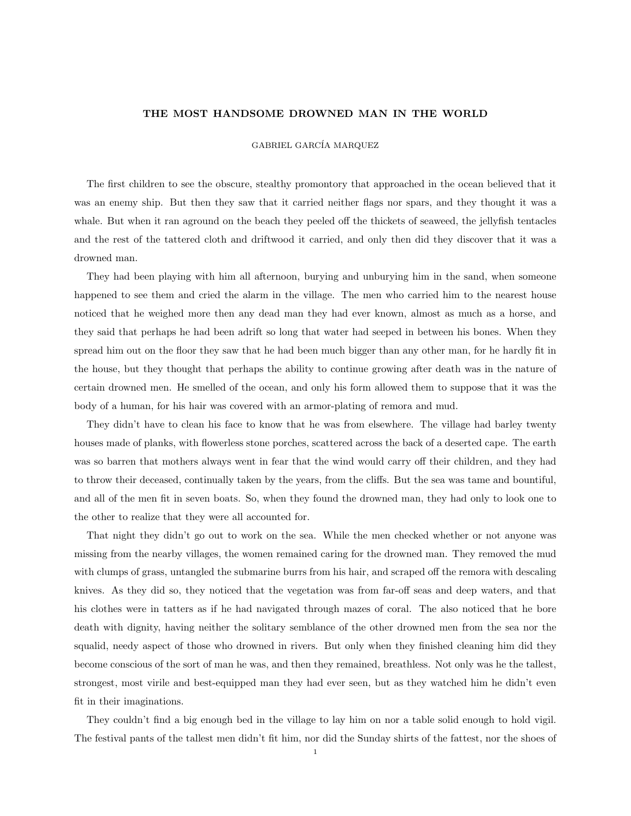## THE MOST HANDSOME DROWNED MAN IN THE WORLD

## GABRIEL GARCÍA MARQUEZ

The first children to see the obscure, stealthy promontory that approached in the ocean believed that it was an enemy ship. But then they saw that it carried neither flags nor spars, and they thought it was a whale. But when it ran aground on the beach they peeled off the thickets of seaweed, the jellyfish tentacles and the rest of the tattered cloth and driftwood it carried, and only then did they discover that it was a drowned man.

They had been playing with him all afternoon, burying and unburying him in the sand, when someone happened to see them and cried the alarm in the village. The men who carried him to the nearest house noticed that he weighed more then any dead man they had ever known, almost as much as a horse, and they said that perhaps he had been adrift so long that water had seeped in between his bones. When they spread him out on the floor they saw that he had been much bigger than any other man, for he hardly fit in the house, but they thought that perhaps the ability to continue growing after death was in the nature of certain drowned men. He smelled of the ocean, and only his form allowed them to suppose that it was the body of a human, for his hair was covered with an armor-plating of remora and mud.

They didn't have to clean his face to know that he was from elsewhere. The village had barley twenty houses made of planks, with flowerless stone porches, scattered across the back of a deserted cape. The earth was so barren that mothers always went in fear that the wind would carry off their children, and they had to throw their deceased, continually taken by the years, from the cliffs. But the sea was tame and bountiful, and all of the men fit in seven boats. So, when they found the drowned man, they had only to look one to the other to realize that they were all accounted for.

That night they didn't go out to work on the sea. While the men checked whether or not anyone was missing from the nearby villages, the women remained caring for the drowned man. They removed the mud with clumps of grass, untangled the submarine burrs from his hair, and scraped off the remora with descaling knives. As they did so, they noticed that the vegetation was from far-off seas and deep waters, and that his clothes were in tatters as if he had navigated through mazes of coral. The also noticed that he bore death with dignity, having neither the solitary semblance of the other drowned men from the sea nor the squalid, needy aspect of those who drowned in rivers. But only when they finished cleaning him did they become conscious of the sort of man he was, and then they remained, breathless. Not only was he the tallest, strongest, most virile and best-equipped man they had ever seen, but as they watched him he didn't even fit in their imaginations.

They couldn't find a big enough bed in the village to lay him on nor a table solid enough to hold vigil. The festival pants of the tallest men didn't fit him, nor did the Sunday shirts of the fattest, nor the shoes of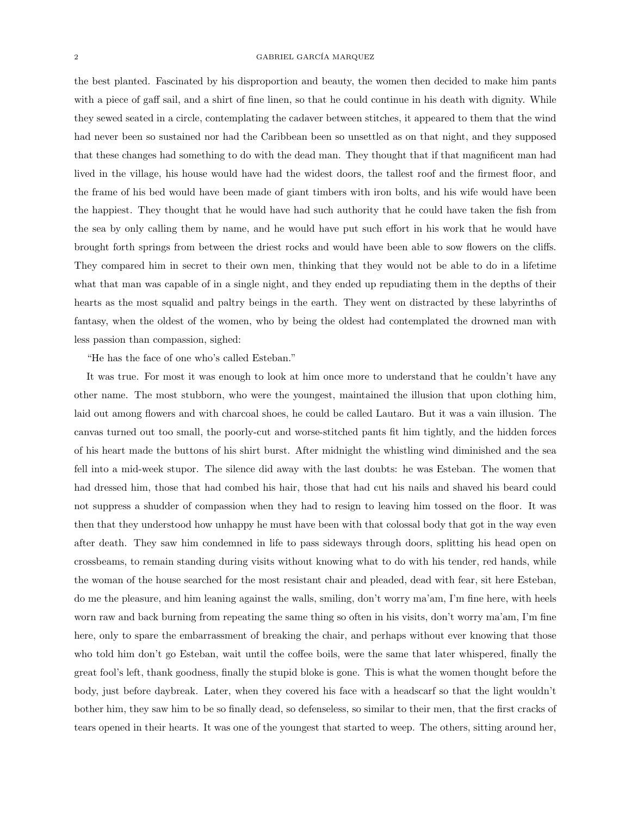## 2 GABRIEL GARCÍA MARQUEZ

the best planted. Fascinated by his disproportion and beauty, the women then decided to make him pants with a piece of gaff sail, and a shirt of fine linen, so that he could continue in his death with dignity. While they sewed seated in a circle, contemplating the cadaver between stitches, it appeared to them that the wind had never been so sustained nor had the Caribbean been so unsettled as on that night, and they supposed that these changes had something to do with the dead man. They thought that if that magnificent man had lived in the village, his house would have had the widest doors, the tallest roof and the firmest floor, and the frame of his bed would have been made of giant timbers with iron bolts, and his wife would have been the happiest. They thought that he would have had such authority that he could have taken the fish from the sea by only calling them by name, and he would have put such effort in his work that he would have brought forth springs from between the driest rocks and would have been able to sow flowers on the cliffs. They compared him in secret to their own men, thinking that they would not be able to do in a lifetime what that man was capable of in a single night, and they ended up repudiating them in the depths of their hearts as the most squalid and paltry beings in the earth. They went on distracted by these labyrinths of fantasy, when the oldest of the women, who by being the oldest had contemplated the drowned man with less passion than compassion, sighed:

"He has the face of one who's called Esteban."

It was true. For most it was enough to look at him once more to understand that he couldn't have any other name. The most stubborn, who were the youngest, maintained the illusion that upon clothing him, laid out among flowers and with charcoal shoes, he could be called Lautaro. But it was a vain illusion. The canvas turned out too small, the poorly-cut and worse-stitched pants fit him tightly, and the hidden forces of his heart made the buttons of his shirt burst. After midnight the whistling wind diminished and the sea fell into a mid-week stupor. The silence did away with the last doubts: he was Esteban. The women that had dressed him, those that had combed his hair, those that had cut his nails and shaved his beard could not suppress a shudder of compassion when they had to resign to leaving him tossed on the floor. It was then that they understood how unhappy he must have been with that colossal body that got in the way even after death. They saw him condemned in life to pass sideways through doors, splitting his head open on crossbeams, to remain standing during visits without knowing what to do with his tender, red hands, while the woman of the house searched for the most resistant chair and pleaded, dead with fear, sit here Esteban, do me the pleasure, and him leaning against the walls, smiling, don't worry ma'am, I'm fine here, with heels worn raw and back burning from repeating the same thing so often in his visits, don't worry ma'am, I'm fine here, only to spare the embarrassment of breaking the chair, and perhaps without ever knowing that those who told him don't go Esteban, wait until the coffee boils, were the same that later whispered, finally the great fool's left, thank goodness, finally the stupid bloke is gone. This is what the women thought before the body, just before daybreak. Later, when they covered his face with a headscarf so that the light wouldn't bother him, they saw him to be so finally dead, so defenseless, so similar to their men, that the first cracks of tears opened in their hearts. It was one of the youngest that started to weep. The others, sitting around her,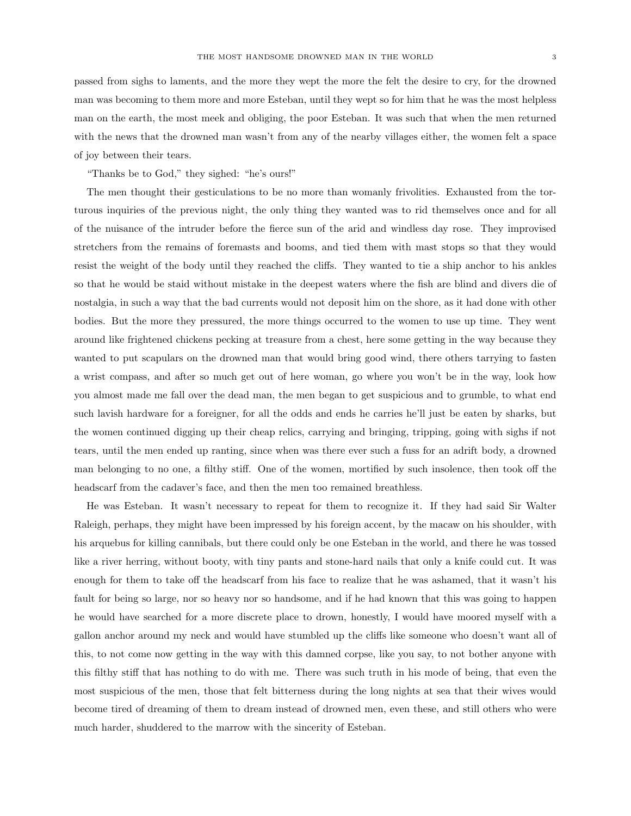passed from sighs to laments, and the more they wept the more the felt the desire to cry, for the drowned man was becoming to them more and more Esteban, until they wept so for him that he was the most helpless man on the earth, the most meek and obliging, the poor Esteban. It was such that when the men returned with the news that the drowned man wasn't from any of the nearby villages either, the women felt a space of joy between their tears.

"Thanks be to God," they sighed: "he's ours!"

The men thought their gesticulations to be no more than womanly frivolities. Exhausted from the torturous inquiries of the previous night, the only thing they wanted was to rid themselves once and for all of the nuisance of the intruder before the fierce sun of the arid and windless day rose. They improvised stretchers from the remains of foremasts and booms, and tied them with mast stops so that they would resist the weight of the body until they reached the cliffs. They wanted to tie a ship anchor to his ankles so that he would be staid without mistake in the deepest waters where the fish are blind and divers die of nostalgia, in such a way that the bad currents would not deposit him on the shore, as it had done with other bodies. But the more they pressured, the more things occurred to the women to use up time. They went around like frightened chickens pecking at treasure from a chest, here some getting in the way because they wanted to put scapulars on the drowned man that would bring good wind, there others tarrying to fasten a wrist compass, and after so much get out of here woman, go where you won't be in the way, look how you almost made me fall over the dead man, the men began to get suspicious and to grumble, to what end such lavish hardware for a foreigner, for all the odds and ends he carries he'll just be eaten by sharks, but the women continued digging up their cheap relics, carrying and bringing, tripping, going with sighs if not tears, until the men ended up ranting, since when was there ever such a fuss for an adrift body, a drowned man belonging to no one, a filthy stiff. One of the women, mortified by such insolence, then took off the headscarf from the cadaver's face, and then the men too remained breathless.

He was Esteban. It wasn't necessary to repeat for them to recognize it. If they had said Sir Walter Raleigh, perhaps, they might have been impressed by his foreign accent, by the macaw on his shoulder, with his arquebus for killing cannibals, but there could only be one Esteban in the world, and there he was tossed like a river herring, without booty, with tiny pants and stone-hard nails that only a knife could cut. It was enough for them to take off the headscarf from his face to realize that he was ashamed, that it wasn't his fault for being so large, nor so heavy nor so handsome, and if he had known that this was going to happen he would have searched for a more discrete place to drown, honestly, I would have moored myself with a gallon anchor around my neck and would have stumbled up the cliffs like someone who doesn't want all of this, to not come now getting in the way with this damned corpse, like you say, to not bother anyone with this filthy stiff that has nothing to do with me. There was such truth in his mode of being, that even the most suspicious of the men, those that felt bitterness during the long nights at sea that their wives would become tired of dreaming of them to dream instead of drowned men, even these, and still others who were much harder, shuddered to the marrow with the sincerity of Esteban.